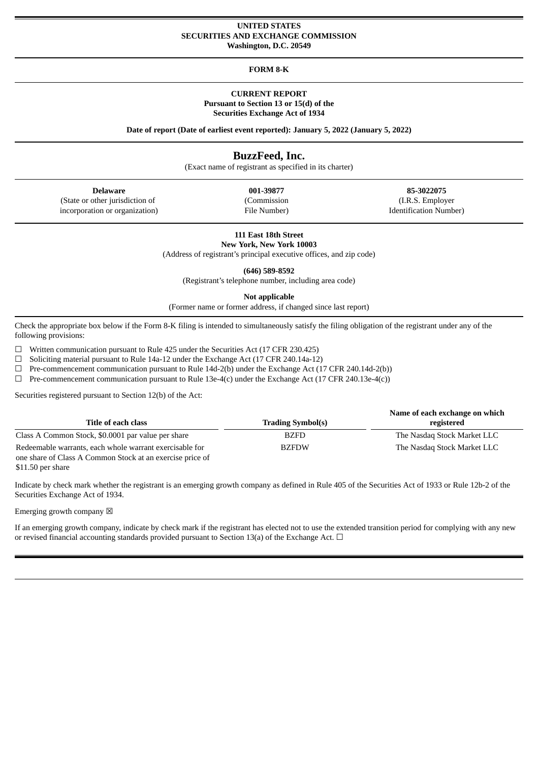#### **UNITED STATES SECURITIES AND EXCHANGE COMMISSION Washington, D.C. 20549**

**FORM 8-K**

#### **CURRENT REPORT Pursuant to Section 13 or 15(d) of the**

**Securities Exchange Act of 1934**

**Date of report (Date of earliest event reported): January 5, 2022 (January 5, 2022)**

# **BuzzFeed, Inc.**

(Exact name of registrant as specified in its charter)

| Delaware                        | 001-39877    | 85-3022075         |
|---------------------------------|--------------|--------------------|
| (State or other jurisdiction of | (Commission) | (I.R.S. Employ     |
| incorporation or organization)  | File Number) | Identification Nun |

(I.R.S. Employer Identification Number)

**111 East 18th Street**

**New York, New York 10003** (Address of registrant's principal executive offices, and zip code)

**(646) 589-8592**

(Registrant's telephone number, including area code)

**Not applicable**

(Former name or former address, if changed since last report)

Check the appropriate box below if the Form 8-K filing is intended to simultaneously satisfy the filing obligation of the registrant under any of the following provisions:

☐ Written communication pursuant to Rule 425 under the Securities Act (17 CFR 230.425)

☐ Soliciting material pursuant to Rule 14a-12 under the Exchange Act (17 CFR 240.14a-12)

☐ Pre-commencement communication pursuant to Rule 14d-2(b) under the Exchange Act (17 CFR 240.14d-2(b))

 $\Box$  Pre-commencement communication pursuant to Rule 13e-4(c) under the Exchange Act (17 CFR 240.13e-4(c))

Securities registered pursuant to Section 12(b) of the Act:

| Title of each class                                                                                                  | <b>Trading Symbol(s)</b> | Name of each exchange on which<br>registered |
|----------------------------------------------------------------------------------------------------------------------|--------------------------|----------------------------------------------|
| Class A Common Stock, \$0.0001 par value per share                                                                   | <b>BZFD</b>              | The Nasdag Stock Market LLC                  |
| Redeemable warrants, each whole warrant exercisable for<br>one share of Class A Common Stock at an exercise price of | <b>BZFDW</b>             | The Nasdag Stock Market LLC                  |

\$11.50 per share

Indicate by check mark whether the registrant is an emerging growth company as defined in Rule 405 of the Securities Act of 1933 or Rule 12b-2 of the Securities Exchange Act of 1934.

Emerging growth company  $\boxtimes$ 

If an emerging growth company, indicate by check mark if the registrant has elected not to use the extended transition period for complying with any new or revised financial accounting standards provided pursuant to Section 13(a) of the Exchange Act.  $\Box$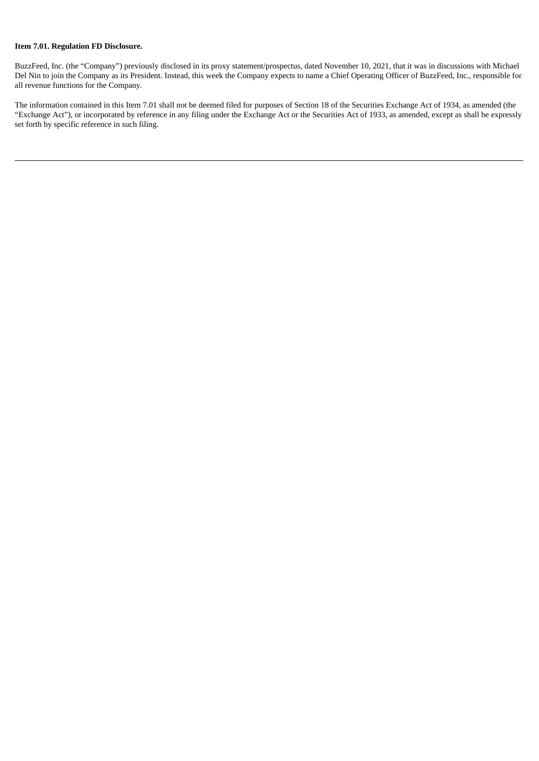### **Item 7.01. Regulation FD Disclosure.**

BuzzFeed, Inc. (the "Company") previously disclosed in its proxy statement/prospectus, dated November 10, 2021, that it was in discussions with Michael Del Nin to join the Company as its President. Instead, this week the Company expects to name a Chief Operating Officer of BuzzFeed, Inc., responsible for all revenue functions for the Company.

The information contained in this Item 7.01 shall not be deemed filed for purposes of Section 18 of the Securities Exchange Act of 1934, as amended (the "Exchange Act"), or incorporated by reference in any filing under the Exchange Act or the Securities Act of 1933, as amended, except as shall be expressly set forth by specific reference in such filing.